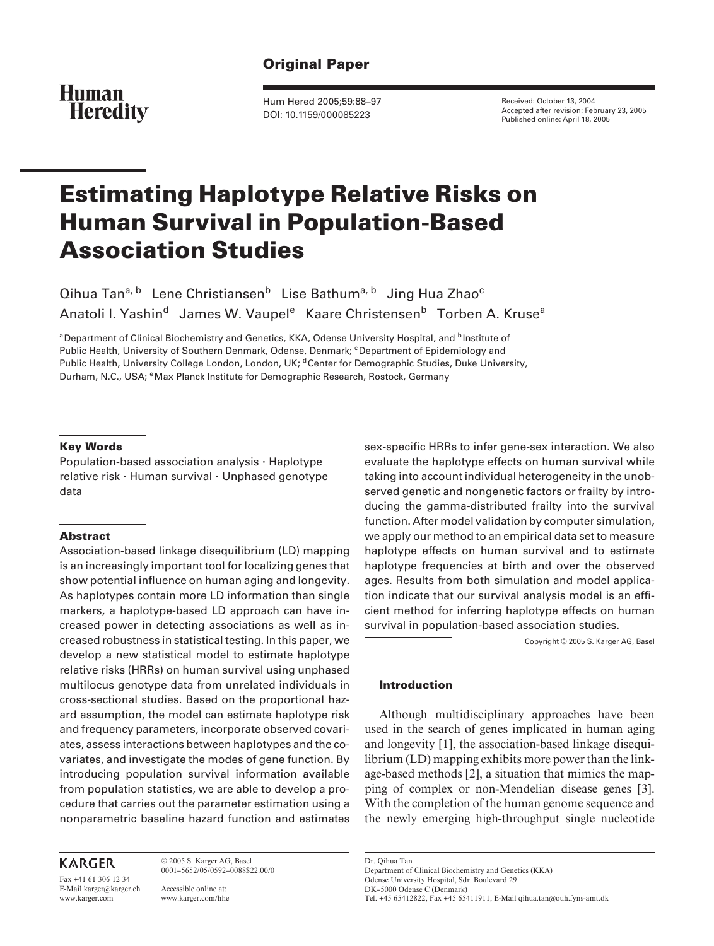# **Original Paper**

**Human Heredity** 

Hum Hered 2005;59:88–97 DOI: 10.1159/000085223

Received: October 13, 2004 Accepted after revision: February 23, 2005 Published online: April 18, 2005

# **Estimating Haplotype Relative Risks on Human Survival in Population-Based Association Studies**

Qihua Tan<sup>a, b</sup> Lene Christiansen<sup>b</sup> Lise Bathum<sup>a, b</sup> Jing Hua Zhao<sup>c</sup> Anatoli I. Yashin<sup>d</sup> James W. Vaupel<sup>e</sup> Kaare Christensen<sup>b</sup> Torben A. Kruse<sup>a</sup>

<sup>a</sup> Department of Clinical Biochemistry and Genetics, KKA, Odense University Hospital, and <sup>b</sup>Institute of Public Health, University of Southern Denmark, Odense, Denmark; C Department of Epidemiology and Public Health, University College London, London, UK; <sup>d</sup> Center for Demographic Studies, Duke University, Durham, N.C., USA; <sup>e</sup> Max Planck Institute for Demographic Research, Rostock, Germany

## **Key Words**

Population-based association analysis  $\cdot$  Haplotype relative risk  $\cdot$  Human survival  $\cdot$  Unphased genotype data

## **Abstract**

Association-based linkage disequilibrium (LD) mapping is an increasingly important tool for localizing genes that show potential influence on human aging and longevity. As haplotypes contain more LD information than single markers, a haplotype-based LD approach can have increased power in detecting associations as well as increased robustness in statistical testing. In this paper, we develop a new statistical model to estimate haplotype relative risks (HRRs) on human survival using unphased multilocus genotype data from unrelated individuals in cross-sectional studies. Based on the proportional hazard assumption, the model can estimate haplotype risk and frequency parameters, incorporate observed covariates, assess interactions between haplotypes and the covariates, and investigate the modes of gene function. By introducing population survival information available from population statistics, we are able to develop a procedure that carries out the parameter estimation using a nonparametric baseline hazard function and estimates

# **KARGER**

Fax +41 61 306 12 34 E-Mail karger@karger.ch www.karger.com

© 2005 S. Karger AG, Basel 0001–5652/05/0592–0088\$22.00/0

Accessible online at: www.karger.com/hhe sex-specific HRRs to infer gene-sex interaction. We also evaluate the haplotype effects on human survival while taking into account individual heterogeneity in the unobserved genetic and nongenetic factors or frailty by introducing the gamma-distributed frailty into the survival function. After model validation by computer simulation, we apply our method to an empirical data set to measure haplotype effects on human survival and to estimate haplotype frequencies at birth and over the observed ages. Results from both simulation and model application indicate that our survival analysis model is an efficient method for inferring haplotype effects on human survival in population-based association studies.

Copyright © 2005 S. Karger AG, Basel

## **Introduction**

Although multidisciplinary approaches have been used in the search of genes implicated in human aging and longevity [1], the association-based linkage disequilibrium (LD) mapping exhibits more power than the linkage-based methods [2], a situation that mimics the mapping of complex or non-Mendelian disease genes [3]. With the completion of the human genome sequence and the newly emerging high-throughput single nucleotide

Dr. Qihua Tan Department of Clinical Biochemistry and Genetics (KKA) Odense University Hospital, Sdr. Boulevard 29 DK–5000 Odense C (Denmark) Tel. +45 65412822, Fax +45 65411911, E-Mail qihua.tan@ouh.fyns-amt.dk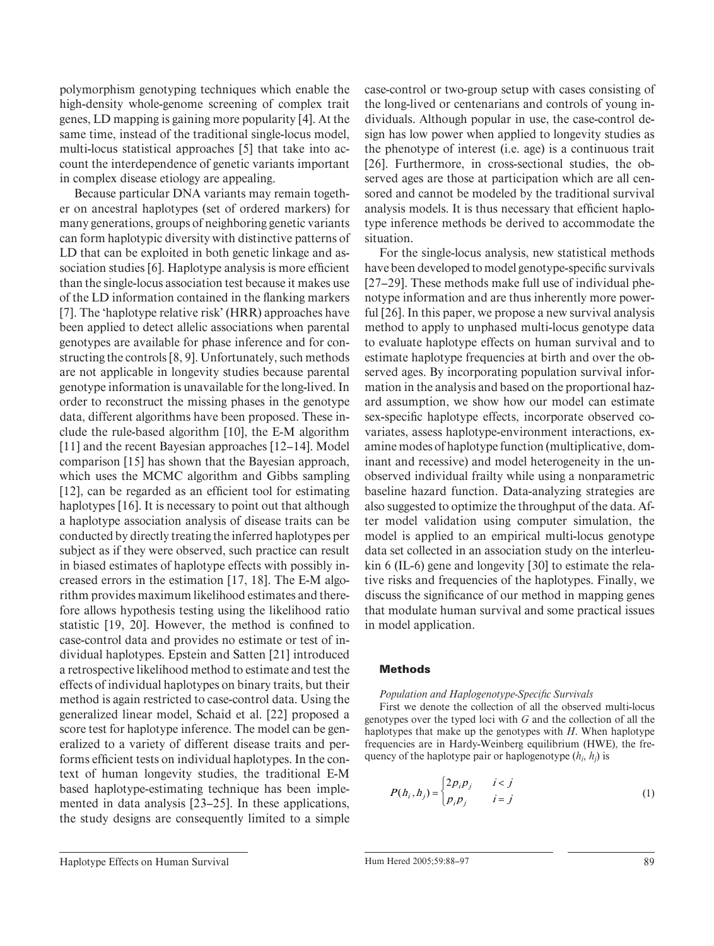polymorphism genotyping techniques which enable the high-density whole-genome screening of complex trait genes, LD mapping is gaining more popularity [4] . At the same time, instead of the traditional single-locus model, multi-locus statistical approaches [5] that take into account the interdependence of genetic variants important in complex disease etiology are appealing.

Because particular DNA variants may remain together on ancestral haplotypes (set of ordered markers) for many generations, groups of neighboring genetic variants can form haplotypic diversity with distinctive patterns of LD that can be exploited in both genetic linkage and association studies [6]. Haplotype analysis is more efficient than the single-locus association test because it makes use of the LD information contained in the flanking markers [7]. The 'haplotype relative risk' (HRR) approaches have been applied to detect allelic associations when parental genotypes are available for phase inference and for constructing the controls  $[8, 9]$ . Unfortunately, such methods are not applicable in longevity studies because parental genotype information is unavailable for the long-lived. In order to reconstruct the missing phases in the genotype data, different algorithms have been proposed. These include the rule-based algorithm  $[10]$ , the E-M algorithm [11] and the recent Bayesian approaches [12–14]. Model comparison [15] has shown that the Bayesian approach, which uses the MCMC algorithm and Gibbs sampling  $[12]$ , can be regarded as an efficient tool for estimating haplotypes [16]. It is necessary to point out that although a haplotype association analysis of disease traits can be conducted by directly treating the inferred haplotypes per subject as if they were observed, such practice can result in biased estimates of haplotype effects with possibly increased errors in the estimation [17, 18]. The E-M algorithm provides maximum likelihood estimates and therefore allows hypothesis testing using the likelihood ratio statistic  $[19, 20]$ . However, the method is confined to case-control data and provides no estimate or test of individual haplotypes. Epstein and Satten [21] introduced a retrospective likelihood method to estimate and test the effects of individual haplotypes on binary traits, but their method is again restricted to case-control data. Using the generalized linear model, Schaid et al. [22] proposed a score test for haplotype inference. The model can be generalized to a variety of different disease traits and performs efficient tests on individual haplotypes. In the context of human longevity studies, the traditional E-M based haplotype-estimating technique has been implemented in data analysis  $[23-25]$ . In these applications, the study designs are consequently limited to a simple case-control or two-group setup with cases consisting of the long-lived or centenarians and controls of young individuals. Although popular in use, the case-control design has low power when applied to longevity studies as the phenotype of interest (i.e. age) is a continuous trait [26]. Furthermore, in cross-sectional studies, the observed ages are those at participation which are all censored and cannot be modeled by the traditional survival analysis models. It is thus necessary that efficient haplotype inference methods be derived to accommodate the situation.

For the single-locus analysis, new statistical methods have been developed to model genotype-specific survivals [27–29]. These methods make full use of individual phenotype information and are thus inherently more powerful [26]. In this paper, we propose a new survival analysis method to apply to unphased multi-locus genotype data to evaluate haplotype effects on human survival and to estimate haplotype frequencies at birth and over the observed ages. By incorporating population survival information in the analysis and based on the proportional hazard assumption, we show how our model can estimate sex-specific haplotype effects, incorporate observed covariates, assess haplotype-environment interactions, examine modes of haplotype function (multiplicative, dominant and recessive) and model heterogeneity in the unobserved individual frailty while using a nonparametric baseline hazard function. Data-analyzing strategies are also suggested to optimize the throughput of the data. After model validation using computer simulation, the model is applied to an empirical multi-locus genotype data set collected in an association study on the interleukin 6 (IL-6) gene and longevity  $[30]$  to estimate the relative risks and frequencies of the haplotypes. Finally, we discuss the significance of our method in mapping genes that modulate human survival and some practical issues in model application.

## **Methods**

## *Population and Haplogenotype-Specific Survivals*

First we denote the collection of all the observed multi-locus genotypes over the typed loci with *G* and the collection of all the haplotypes that make up the genotypes with *H*. When haplotype frequencies are in Hardy-Weinberg equilibrium (HWE), the frequency of the haplotype pair or haplogenotype  $(h_i, h_i)$  is

$$
P(h_i, h_j) = \begin{cases} 2p_i p_j & i < j \\ p_i p_j & i = j \end{cases} \tag{1}
$$

Haplotype Effects on Human Survival 89<br>
Hum Hered 2005;59:88–97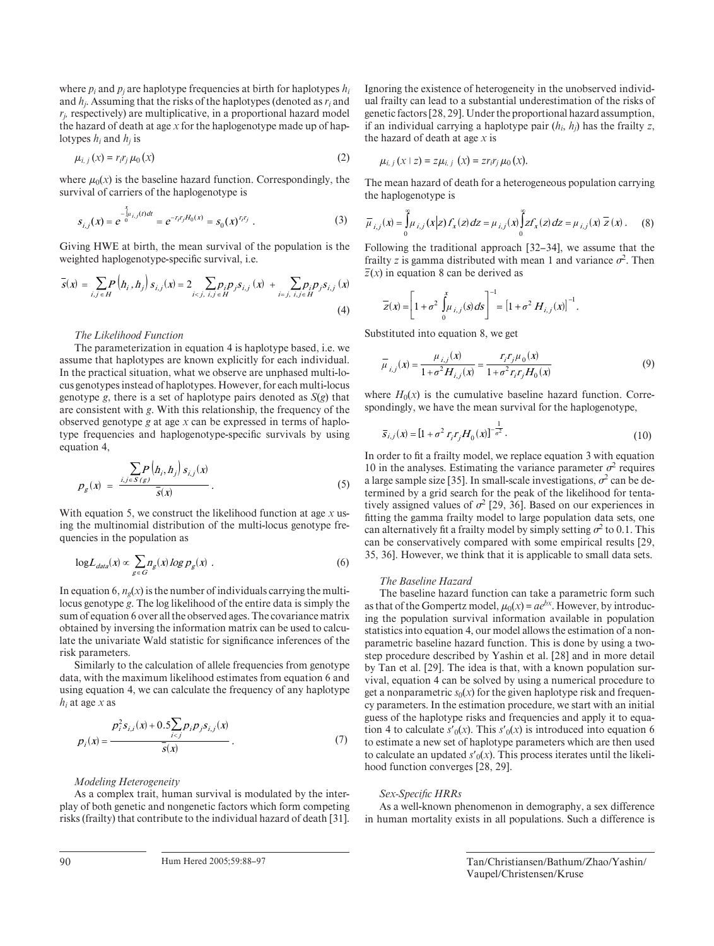where  $p_i$  and  $p_j$  are haplotype frequencies at birth for haplotypes  $h_i$ and  $h_i$ . Assuming that the risks of the haplotypes (denoted as  $r_i$  and  $r<sub>i</sub>$ , respectively) are multiplicative, in a proportional hazard model the hazard of death at age  $x$  for the haplogenotype made up of haplotypes  $h_i$  and  $h_i$  is

$$
\mu_{i,j}\left(x\right) = r_i r_j \mu_0\left(x\right) \tag{2}
$$

where  $\mu_0(x)$  is the baseline hazard function. Correspondingly, the survival of carriers of the haplogenotype is

$$
S_{i,j}(x) = e^{-\int_{0}^{x} u_{i,j}(t)dt} = e^{-r_j r_j H_0(x)} = s_0(x)^{r_j r_j} . \tag{3}
$$

Giving HWE at birth, the mean survival of the population is the weighted haplogenotype-specific survival, i.e.

$$
\overline{s}(x) = \sum_{i,j \in H} P\left(h_i, h_j\right) s_{i,j}(x) = 2 \sum_{i < j, \ i, j \in H} p_j p_j s_{i,j}(x) + \sum_{i = j, \ i, j \in H} p_j p_j s_{i,j}(x) \tag{4}
$$

### *The Likelihood Function*

The parameterization in equation 4 is haplotype based, i.e. we assume that haplotypes are known explicitly for each individual. In the practical situation, what we observe are unphased multi-locus genotypes instead of haplotypes. However, for each multi-locus genotype *g*, there is a set of haplotype pairs denoted as  $S(g)$  that are consistent with *g*. With this relationship, the frequency of the observed genotype *g* at age *x* can be expressed in terms of haplotype frequencies and haplogenotype-specific survivals by using equation 4,

$$
p_g(x) = \frac{\sum_{i,j \in S(g)} p\left(h_i, h_j\right) s_{i,j}(x)}{\overline{s}(x)}.
$$
\n(5)

With equation 5, we construct the likelihood function at age *x* using the multinomial distribution of the multi-locus genotype frequencies in the population as

$$
\log L_{data}(x) \propto \sum_{g \in G} n_g(x) \log p_g(x) \tag{6}
$$

In equation 6,  $n_e(x)$  is the number of individuals carrying the multilocus genotype *g*. The log likelihood of the entire data is simply the sum of equation 6 over all the observed ages. The covariance matrix obtained by inversing the information matrix can be used to calculate the univariate Wald statistic for significance inferences of the risk parameters.

Similarly to the calculation of allele frequencies from genotype data, with the maximum likelihood estimates from equation 6 and using equation 4, we can calculate the frequency of any haplotype  $h_i$  at age *x* as

$$
p_j(x) = \frac{p_j^2 s_{i,j}(x) + 0.5 \sum_{i < j} p_j p_j s_{i,j}(x)}{\overline{s}(x)}.
$$
\n(7)

*Modeling Heterogeneity* 

As a complex trait, human survival is modulated by the interplay of both genetic and nongenetic factors which form competing risks (frailty) that contribute to the individual hazard of death [31] . Ignoring the existence of heterogeneity in the unobserved individual frailty can lead to a substantial underestimation of the risks of genetic factors [28, 29] . Under the proportional hazard assumption, if an individual carrying a haplotype pair  $(h_i, h_i)$  has the frailty *z*, the hazard of death at age *x* is

$$
\mu_{i,j}(x \mid z) = z \mu_{i,j}(x) = z r_i r_j \mu_0(x).
$$

The mean hazard of death for a heterogeneous population carrying the haplogenotype is

$$
\overline{\mu}_{i,j}(x) = \int_{0}^{\infty} \mu_{i,j}(x|z) f_x(z) dz = \mu_{i,j}(x) \int_{0}^{\infty} z f_x(z) dz = \mu_{i,j}(x) \overline{z}(x).
$$
 (8)

Following the traditional approach [32–34], we assume that the frailty *z* is gamma distributed with mean 1 and variance  $\sigma^2$ . Then  $\overline{z}(x)$  in equation 8 can be derived as

$$
\overline{Z}(x) = \left[1 + \sigma^2 \int_0^x \mu_{i,j}(s) ds\right]^{-1} = \left[1 + \sigma^2 H_{i,j}(x)\right]^{-1}.
$$

Substituted into equation 8, we get

$$
\overline{\mu}_{i,j}(x) = \frac{\mu_{i,j}(x)}{1 + \sigma^2 H_{i,j}(x)} = \frac{r_i r_j \mu_0(x)}{1 + \sigma^2 r_i r_j H_0(x)}
$$
(9)

where  $H_0(x)$  is the cumulative baseline hazard function. Correspondingly, we have the mean survival for the haplogenotype,

$$
\overline{S}_{i,j}(x) = [1 + \sigma^2 r_i r_j H_0(x)]^{-\frac{1}{\sigma^2}}.
$$
\n(10)

In order to fit a frailty model, we replace equation 3 with equation 10 in the analyses. Estimating the variance parameter  $\sigma^2$  requires a large sample size [35]. In small-scale investigations,  $\sigma^2$  can be determined by a grid search for the peak of the likelihood for tentatively assigned values of  $\sigma^2$  [29, 36]. Based on our experiences in fitting the gamma frailty model to large population data sets, one can alternatively fit a frailty model by simply setting  $\sigma^2$  to 0.1. This can be conservatively compared with some empirical results [29, 35, 36] . However, we think that it is applicable to small data sets.

#### *The Baseline Hazard*

The baseline hazard function can take a parametric form such as that of the Gompertz model,  $\mu_0(x) = ae^{bx}$ . However, by introducing the population survival information available in population statistics into equation 4, our model allows the estimation of a nonparametric baseline hazard function. This is done by using a twostep procedure described by Yashin et al. [28] and in more detail by Tan et al. [29]. The idea is that, with a known population survival, equation 4 can be solved by using a numerical procedure to get a nonparametric  $s_0(x)$  for the given haplotype risk and frequency parameters. In the estimation procedure, we start with an initial guess of the haplotype risks and frequencies and apply it to equation 4 to calculate  $s'_{0}(x)$ . This  $s'_{0}(x)$  is introduced into equation 6 to estimate a new set of haplotype parameters which are then used to calculate an updated  $s'_{0}(x)$ . This process iterates until the likelihood function converges [28, 29].

#### $Sex-Specific HRRs$

As a well-known phenomenon in demography, a sex difference in human mortality exists in all populations. Such a difference is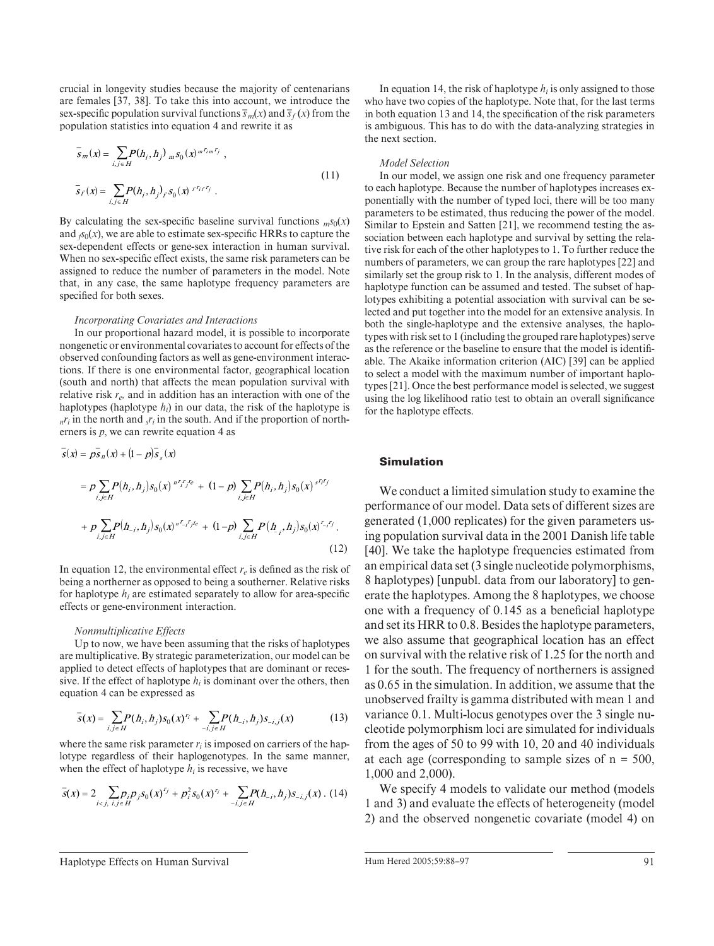crucial in longevity studies because the majority of centenarians are females [37, 38]. To take this into account, we introduce the sex-specific population survival functions  $\overline{s}_m(x)$  and  $\overline{s}_f(x)$  from the population statistics into equation 4 and rewrite it as

$$
\overline{s}_{m}(x) = \sum_{i,j \in H} P(h_{i}, h_{j})_{m} s_{0}(x)^{m^{r_{i}m^{r_{j}}}},
$$
\n
$$
\overline{s}_{f}(x) = \sum_{i,j \in H} P(h_{i}, h_{j})_{f} s_{0}(x)^{r^{r_{i}r^{r_{j}}}}.
$$
\n(11)

By calculating the sex-specific baseline survival functions  $ms_0(x)$ and  $\beta_0(x)$ , we are able to estimate sex-specific HRRs to capture the sex-dependent effects or gene-sex interaction in human survival. When no sex-specific effect exists, the same risk parameters can be assigned to reduce the number of parameters in the model. Note that, in any case, the same haplotype frequency parameters are specified for both sexes.

#### *Incorporating Covariates and Interactions*

In our proportional hazard model, it is possible to incorporate nongenetic or environmental covariates to account for effects of the observed confounding factors as well as gene-environment interactions. If there is one environmental factor, geographical location (south and north) that affects the mean population survival with relative risk  $r_e$ , and in addition has an interaction with one of the haplotypes (haplotype  $h_i$ ) in our data, the risk of the haplotype is  $n r_i$  in the north and  $r_i$  in the south. And if the proportion of northerners is *p*, we can rewrite equation 4 as

$$
\overline{s}(x) = p\overline{s}_n(x) + (1-p)\overline{s}_s(x)
$$
\n
$$
= p \sum_{i,j \in H} P(h_i, h_j) s_0(x)^{n^r f_j r} + (1-p) \sum_{i,j \in H} P(h_i, h_j) s_0(x)^{s^r f_j r}
$$
\n
$$
+ p \sum_{i,j \in H} P(h_{-i}, h_j) s_0(x)^{n^r f_j r} + (1-p) \sum_{i,j \in H} P(h_{-i}, h_j) s_0(x)^{r_i f_j}.
$$
\n(12)

In equation 12, the environmental effect  $r_e$  is defined as the risk of being a northerner as opposed to being a southerner. Relative risks for haplotype  $h_i$  are estimated separately to allow for area-specific effects or gene-environment interaction.

#### *Nonmultiplicative Effects*

Up to now, we have been assuming that the risks of haplotypes are multiplicative. By strategic parameterization, our model can be applied to detect effects of haplotypes that are dominant or recessive. If the effect of haplotype  $h_i$  is dominant over the others, then equation 4 can be expressed as

$$
\overline{s}(x) = \sum_{i,j \in H} P(h_i, h_j) s_0(x)^{r_i} + \sum_{-i,j \in H} P(h_{-i}, h_j) s_{-i,j}(x)
$$
(13)

where the same risk parameter  $r_i$  is imposed on carriers of the haplotype regardless of their haplogenotypes. In the same manner, when the effect of haplotype  $h_i$  is recessive, we have

$$
\overline{s}(x) = 2 \sum_{i < j, \ i, j \in H} p_j p_j s_0(x)^{r_j} + p_i^2 s_0(x)^{r_i} + \sum_{-i, j \in H} P(h_{-i}, h_j) s_{-i, j}(x) \tag{14}
$$

In equation 14, the risk of haplotype  $h_i$  is only assigned to those who have two copies of the haplotype. Note that, for the last terms in both equation 13 and 14, the specification of the risk parameters is ambiguous. This has to do with the data-analyzing strategies in the next section.

#### *Model Selection*

In our model, we assign one risk and one frequency parameter to each haplotype. Because the number of haplotypes increases exponentially with the number of typed loci, there will be too many parameters to be estimated, thus reducing the power of the model. Similar to Epstein and Satten [21], we recommend testing the association between each haplotype and survival by setting the relative risk for each of the other haplotypes to 1. To further reduce the numbers of parameters, we can group the rare haplotypes [22] and similarly set the group risk to 1. In the analysis, different modes of haplotype function can be assumed and tested. The subset of haplotypes exhibiting a potential association with survival can be selected and put together into the model for an extensive analysis. In both the single-haplotype and the extensive analyses, the haplotypes with risk set to 1 (including the grouped rare haplotypes) serve as the reference or the baseline to ensure that the model is identifiable. The Akaike information criterion (AIC) [39] can be applied to select a model with the maximum number of important haplotypes [21] . Once the best performance model is selected, we suggest using the log likelihood ratio test to obtain an overall significance for the haplotype effects.

## **Simulation**

We conduct a limited simulation study to examine the performance of our model. Data sets of different sizes are generated (1,000 replicates) for the given parameters using population survival data in the 2001 Danish life table [40]. We take the haplotype frequencies estimated from an empirical data set (3 single nucleotide polymorphisms, 8 haplotypes) [unpubl. data from our laboratory] to generate the haplotypes. Among the 8 haplotypes, we choose one with a frequency of  $0.145$  as a beneficial haplotype and set its HRR to 0.8. Besides the haplotype parameters, we also assume that geographical location has an effect on survival with the relative risk of 1.25 for the north and 1 for the south. The frequency of northerners is assigned as 0.65 in the simulation. In addition, we assume that the unobserved frailty is gamma distributed with mean 1 and variance 0.1. Multi-locus genotypes over the 3 single nucleotide polymorphism loci are simulated for individuals from the ages of 50 to 99 with 10, 20 and 40 individuals at each age (corresponding to sample sizes of  $n = 500$ , 1,000 and 2,000).

We specify 4 models to validate our method (models 1 and 3) and evaluate the effects of heterogeneity (model 2) and the observed nongenetic covariate (model 4) on

Haplotype Effects on Human Survival Function Allem Hered 2005;59:88–97 91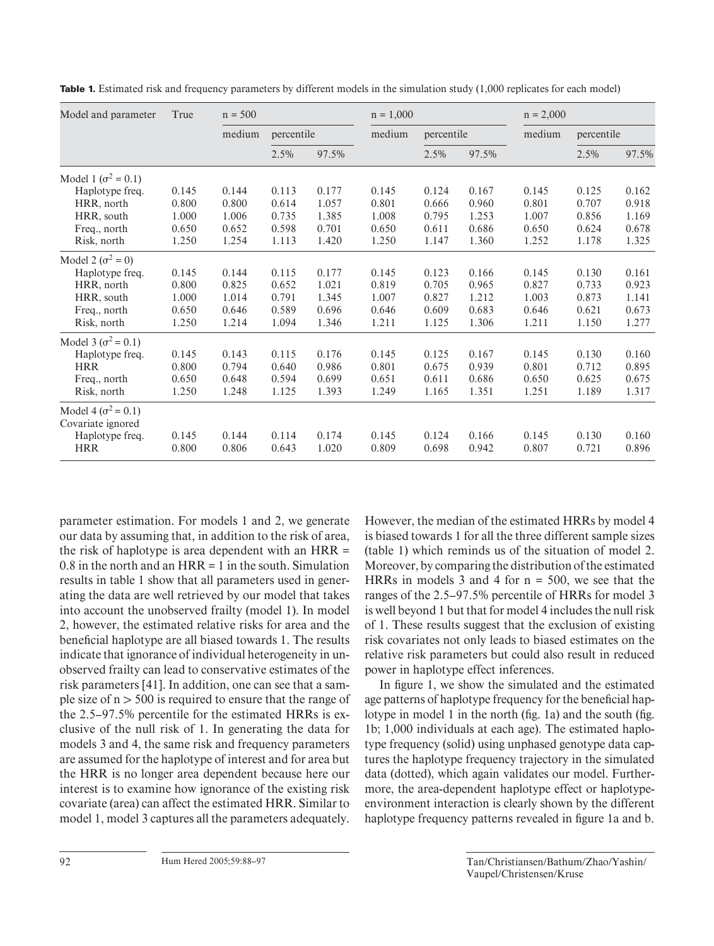| Model and parameter         | True  | $n = 500$ |            |       | $n = 1,000$ |            |       | $n = 2,000$ |            |       |
|-----------------------------|-------|-----------|------------|-------|-------------|------------|-------|-------------|------------|-------|
|                             |       | medium    | percentile |       | medium      | percentile |       | medium      | percentile |       |
|                             |       |           | 2.5%       | 97.5% |             | 2.5%       | 97.5% |             | 2.5%       | 97.5% |
| Model 1 ( $\sigma^2$ = 0.1) |       |           |            |       |             |            |       |             |            |       |
| Haplotype freq.             | 0.145 | 0.144     | 0.113      | 0.177 | 0.145       | 0.124      | 0.167 | 0.145       | 0.125      | 0.162 |
| HRR, north                  | 0.800 | 0.800     | 0.614      | 1.057 | 0.801       | 0.666      | 0.960 | 0.801       | 0.707      | 0.918 |
| HRR, south                  | 1.000 | 1.006     | 0.735      | 1.385 | 1.008       | 0.795      | 1.253 | 1.007       | 0.856      | 1.169 |
| Freq., north                | 0.650 | 0.652     | 0.598      | 0.701 | 0.650       | 0.611      | 0.686 | 0.650       | 0.624      | 0.678 |
| Risk, north                 | 1.250 | 1.254     | 1.113      | 1.420 | 1.250       | 1.147      | 1.360 | 1.252       | 1.178      | 1.325 |
| Model 2 ( $\sigma^2$ = 0)   |       |           |            |       |             |            |       |             |            |       |
| Haplotype freq.             | 0.145 | 0.144     | 0.115      | 0.177 | 0.145       | 0.123      | 0.166 | 0.145       | 0.130      | 0.161 |
| HRR, north                  | 0.800 | 0.825     | 0.652      | 1.021 | 0.819       | 0.705      | 0.965 | 0.827       | 0.733      | 0.923 |
| HRR, south                  | 1.000 | 1.014     | 0.791      | 1.345 | 1.007       | 0.827      | 1.212 | 1.003       | 0.873      | 1.141 |
| Freq., north                | 0.650 | 0.646     | 0.589      | 0.696 | 0.646       | 0.609      | 0.683 | 0.646       | 0.621      | 0.673 |
| Risk, north                 | 1.250 | 1.214     | 1.094      | 1.346 | 1.211       | 1.125      | 1.306 | 1.211       | 1.150      | 1.277 |
| Model 3 ( $\sigma^2$ = 0.1) |       |           |            |       |             |            |       |             |            |       |
| Haplotype freq.             | 0.145 | 0.143     | 0.115      | 0.176 | 0.145       | 0.125      | 0.167 | 0.145       | 0.130      | 0.160 |
| <b>HRR</b>                  | 0.800 | 0.794     | 0.640      | 0.986 | 0.801       | 0.675      | 0.939 | 0.801       | 0.712      | 0.895 |
| Freq., north                | 0.650 | 0.648     | 0.594      | 0.699 | 0.651       | 0.611      | 0.686 | 0.650       | 0.625      | 0.675 |
| Risk, north                 | 1.250 | 1.248     | 1.125      | 1.393 | 1.249       | 1.165      | 1.351 | 1.251       | 1.189      | 1.317 |
| Model 4 ( $\sigma^2$ = 0.1) |       |           |            |       |             |            |       |             |            |       |
| Covariate ignored           |       |           |            |       |             |            |       |             |            |       |
| Haplotype freq.             | 0.145 | 0.144     | 0.114      | 0.174 | 0.145       | 0.124      | 0.166 | 0.145       | 0.130      | 0.160 |
| <b>HRR</b>                  | 0.800 | 0.806     | 0.643      | 1.020 | 0.809       | 0.698      | 0.942 | 0.807       | 0.721      | 0.896 |

**Table 1.** Estimated risk and frequency parameters by different models in the simulation study (1,000 replicates for each model)

parameter estimation. For models 1 and 2, we generate our data by assuming that, in addition to the risk of area, the risk of haplotype is area dependent with an HRR =  $0.8$  in the north and an  $HRR = 1$  in the south. Simulation results in table 1 show that all parameters used in generating the data are well retrieved by our model that takes into account the unobserved frailty (model 1). In model 2, however, the estimated relative risks for area and the beneficial haplotype are all biased towards 1. The results indicate that ignorance of individual heterogeneity in unobserved frailty can lead to conservative estimates of the risk parameters [41]. In addition, one can see that a sample size of  $n > 500$  is required to ensure that the range of the 2.5–97.5% percentile for the estimated HRRs is exclusive of the null risk of 1. In generating the data for models 3 and 4, the same risk and frequency parameters are assumed for the haplotype of interest and for area but the HRR is no longer area dependent because here our interest is to examine how ignorance of the existing risk covariate (area) can affect the estimated HRR. Similar to model 1, model 3 captures all the parameters adequately. However, the median of the estimated HRRs by model 4 is biased towards 1 for all the three different sample sizes (table 1) which reminds us of the situation of model 2. Moreover, by comparing the distribution of the estimated HRRs in models 3 and 4 for  $n = 500$ , we see that the ranges of the 2.5–97.5% percentile of HRRs for model 3 is well beyond 1 but that for model 4 includes the null risk of 1. These results suggest that the exclusion of existing risk covariates not only leads to biased estimates on the relative risk parameters but could also result in reduced power in haplotype effect inferences.

In figure 1, we show the simulated and the estimated age patterns of haplotype frequency for the beneficial haplotype in model 1 in the north ( $fig. 1a$ ) and the south ( $fig.$ 1 b; 1,000 individuals at each age). The estimated haplotype frequency (solid) using unphased genotype data captures the haplotype frequency trajectory in the simulated data (dotted), which again validates our model. Furthermore, the area-dependent haplotype effect or haplotypeenvironment interaction is clearly shown by the different haplotype frequency patterns revealed in figure 1a and b.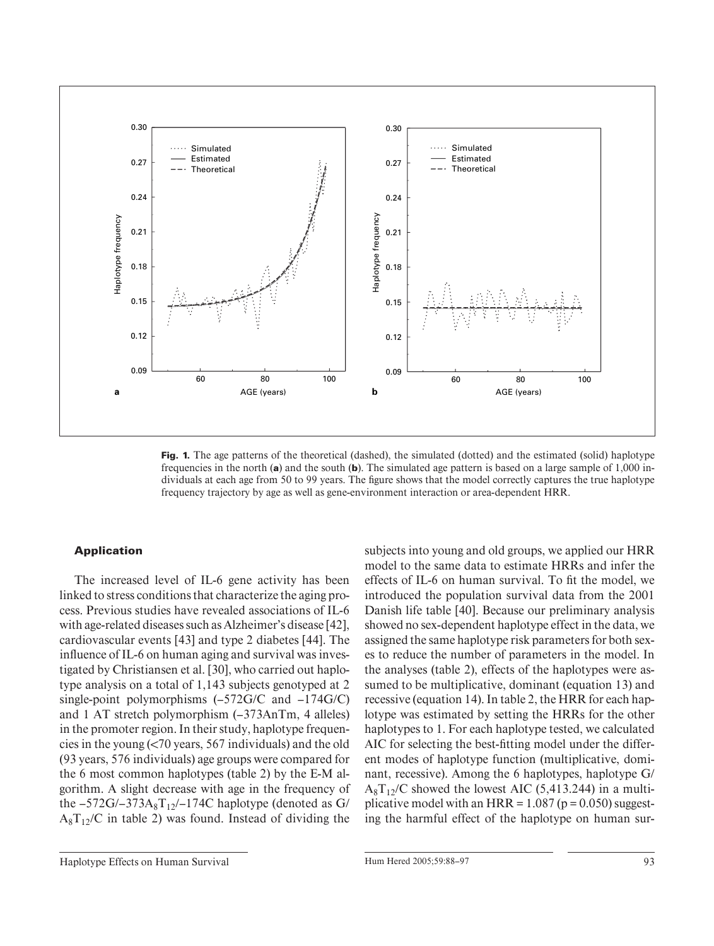

**Fig. 1.** The age patterns of the theoretical (dashed), the simulated (dotted) and the estimated (solid) haplotype frequencies in the north (**a**) and the south (**b**). The simulated age pattern is based on a large sample of 1,000 individuals at each age from 50 to 99 years. The figure shows that the model correctly captures the true haplotype frequency trajectory by age as well as gene-environment interaction or area-dependent HRR.

## **Application**

The increased level of IL-6 gene activity has been linked to stress conditions that characterize the aging process. Previous studies have revealed associations of IL-6 with age-related diseases such as Alzheimer's disease [42] , cardiovascular events [43] and type 2 diabetes [44]. The influence of IL-6 on human aging and survival was investigated by Christiansen et al. [30], who carried out haplotype analysis on a total of 1,143 subjects genotyped at 2 single-point polymorphisms (–572G/C and –174G/C) and 1 AT stretch polymorphism (–373AnTm, 4 alleles) in the promoter region. In their study, haplotype frequencies in the young  $\left( < 70 \right)$  years, 567 individuals) and the old (93 years, 576 individuals) age groups were compared for the 6 most common haplotypes (table 2) by the E-M algorithm. A slight decrease with age in the frequency of the  $-572G/-373A_8T_{12}/-174C$  haplotype (denoted as G/  $A_8 T_{12}/C$  in table 2) was found. Instead of dividing the subjects into young and old groups, we applied our HRR model to the same data to estimate HRRs and infer the effects of IL-6 on human survival. To fit the model, we introduced the population survival data from the 2001 Danish life table [40]. Because our preliminary analysis showed no sex-dependent haplotype effect in the data, we assigned the same haplotype risk parameters for both sexes to reduce the number of parameters in the model. In the analyses (table 2), effects of the haplotypes were assumed to be multiplicative, dominant (equation 13) and recessive (equation 14). In table 2 , the HRR for each haplotype was estimated by setting the HRRs for the other haplotypes to 1. For each haplotype tested, we calculated AIC for selecting the best-fitting model under the different modes of haplotype function (multiplicative, dominant, recessive). Among the 6 haplotypes, haplotype G/  $A_8 T_{12}/C$  showed the lowest AIC (5,413.244) in a multiplicative model with an  $HRR = 1.087$  ( $p = 0.050$ ) suggesting the harmful effect of the haplotype on human sur-

Haplotype Effects on Human Survival and Australian Hum Hered 2005;59:88–97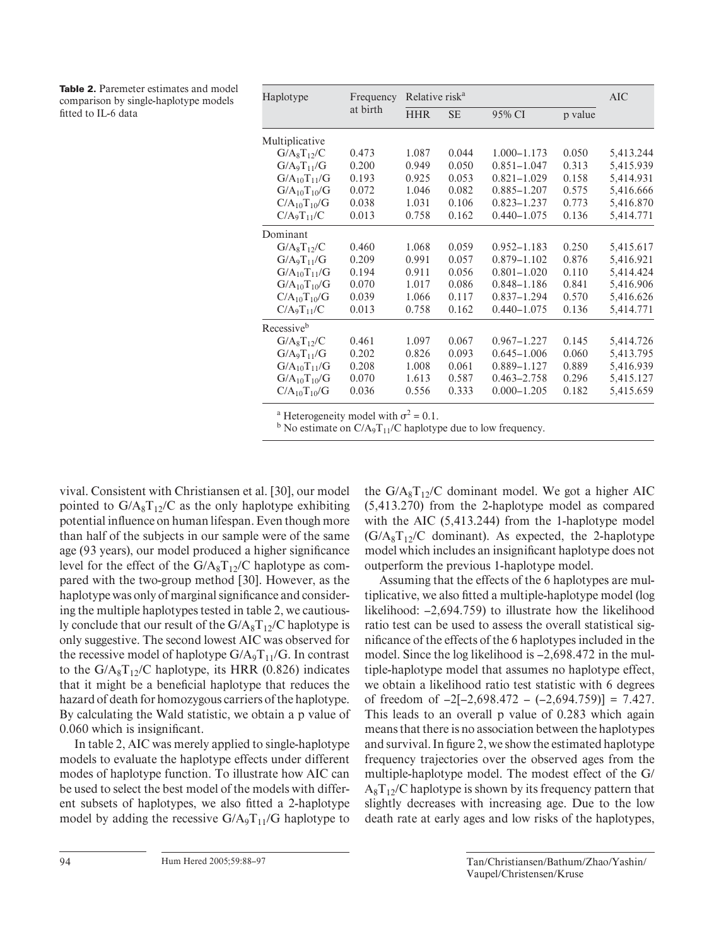| <b>Table 2.</b> Paremeter estimates and model |
|-----------------------------------------------|
| comparison by single-haplotype models         |
| fitted to IL-6 data                           |

| Haplotype                  | Frequency<br>at birth | Relative risk <sup>a</sup> | AIC       |                 |         |           |
|----------------------------|-----------------------|----------------------------|-----------|-----------------|---------|-----------|
|                            |                       | <b>HHR</b>                 | <b>SE</b> | 95% CI          | p value |           |
| Multiplicative             |                       |                            |           |                 |         |           |
| $G/A_8T_1$ <sub>2</sub> /C | 0.473                 | 1.087                      | 0.044     | 1.000-1.173     | 0.050   | 5,413.244 |
| $G/A_9T_{11}/G$            | 0.200                 | 0.949                      | 0.050     | $0.851 - 1.047$ | 0.313   | 5,415.939 |
| $G/A_{10}T_{11}/G$         | 0.193                 | 0.925                      | 0.053     | $0.821 - 1.029$ | 0.158   | 5,414.931 |
| $G/A_{10}T_{10}/G$         | 0.072                 | 1.046                      | 0.082     | 0.885-1.207     | 0.575   | 5,416.666 |
| $C/A_{10}T_{10}/G$         | 0.038                 | 1.031                      | 0.106     | $0.823 - 1.237$ | 0.773   | 5,416.870 |
| $C/A_9T_{11}/C$            | 0.013                 | 0.758                      | 0.162     | $0.440 - 1.075$ | 0.136   | 5,414.771 |
| Dominant                   |                       |                            |           |                 |         |           |
| $G/A_8T_{12}/C$            | 0.460                 | 1.068                      | 0.059     | $0.952 - 1.183$ | 0.250   | 5,415.617 |
| $G/A_9T_{11}/G$            | 0.209                 | 0.991                      | 0.057     | $0.879 - 1.102$ | 0.876   | 5,416.921 |
| $G/A_{10}T_{11}/G$         | 0.194                 | 0.911                      | 0.056     | $0.801 - 1.020$ | 0.110   | 5,414.424 |
| $G/A_{10}T_{10}/G$         | 0.070                 | 1.017                      | 0.086     | $0.848 - 1.186$ | 0.841   | 5,416.906 |
| $C/A_{10}T_{10}/G$         | 0.039                 | 1.066                      | 0.117     | $0.837 - 1.294$ | 0.570   | 5,416.626 |
| $C/A_9T_{11}/C$            | 0.013                 | 0.758                      | 0.162     | $0.440 - 1.075$ | 0.136   | 5,414.771 |
| Recessive <sup>b</sup>     |                       |                            |           |                 |         |           |
| $G/A_8T_{12}/C$            | 0.461                 | 1.097                      | 0.067     | $0.967 - 1.227$ | 0.145   | 5,414.726 |
| $G/A_9T_{11}/G$            | 0.202                 | 0.826                      | 0.093     | $0.645 - 1.006$ | 0.060   | 5,413.795 |
| $G/A_{10}T_{11}/G$         | 0.208                 | 1.008                      | 0.061     | 0.889-1.127     | 0.889   | 5,416.939 |
| $G/A_{10}T_{10}/G$         | 0.070                 | 1.613                      | 0.587     | $0.463 - 2.758$ | 0.296   | 5,415.127 |
| $C/A_{10}T_{10}/G$         | 0.036                 | 0.556                      | 0.333     | $0.000 - 1.205$ | 0.182   | 5,415.659 |

<sup>a</sup> Heterogeneity model with  $\sigma^2 = 0.1$ .

<sup>b</sup> No estimate on  $C/A_9T_{11}/C$  haplotype due to low frequency.

vival. Consistent with Christiansen et al. [30] , our model pointed to  $G/A_8T_{12}/C$  as the only haplotype exhibiting potential influence on human lifespan. Even though more than half of the subjects in our sample were of the same age (93 years), our model produced a higher significance level for the effect of the  $G/A_8T_{12}/C$  haplotype as compared with the two-group method [30]. However, as the haplotype was only of marginal significance and considering the multiple haplotypes tested in table 2, we cautiously conclude that our result of the  $G/A_8T_{12}/C$  haplotype is only suggestive. The second lowest AIC was observed for the recessive model of haplotype  $G/A_9T_{11}/G$ . In contrast to the  $G/A_8T_{12}/C$  haplotype, its HRR (0.826) indicates that it might be a beneficial haplotype that reduces the hazard of death for homozygous carriers of the haplotype. By calculating the Wald statistic, we obtain a p value of 0.060 which is insignificant.

In table 2, AIC was merely applied to single-haplotype models to evaluate the haplotype effects under different modes of haplotype function. To illustrate how AIC can be used to select the best model of the models with different subsets of haplotypes, we also fitted a 2-haplotype model by adding the recessive  $G/A_9T_{11}/G$  haplotype to the  $G/A_8T_1$ <sub>2</sub>/C dominant model. We got a higher AIC (5,413.270) from the 2-haplotype model as compared with the AIC (5,413.244) from the 1-haplotype model  $(G/A_8T_{12}/C$  dominant). As expected, the 2-haplotype model which includes an insignificant haplotype does not outperform the previous 1-haplotype model.

Assuming that the effects of the 6 haplotypes are multiplicative, we also fitted a multiple-haplotype model (log likelihood: –2,694.759) to illustrate how the likelihood ratio test can be used to assess the overall statistical significance of the effects of the 6 haplotypes included in the model. Since the log likelihood is –2,698.472 in the multiple-haplotype model that assumes no haplotype effect, we obtain a likelihood ratio test statistic with 6 degrees of freedom of  $-2[-2,698.472 - (-2,694.759)] = 7.427$ . This leads to an overall p value of 0.283 which again means that there is no association between the haplotypes and survival. In figure 2, we show the estimated haplotype frequency trajectories over the observed ages from the multiple-haplotype model. The modest effect of the G/  $A_8 T_{12}/C$  haplotype is shown by its frequency pattern that slightly decreases with increasing age. Due to the low death rate at early ages and low risks of the haplotypes,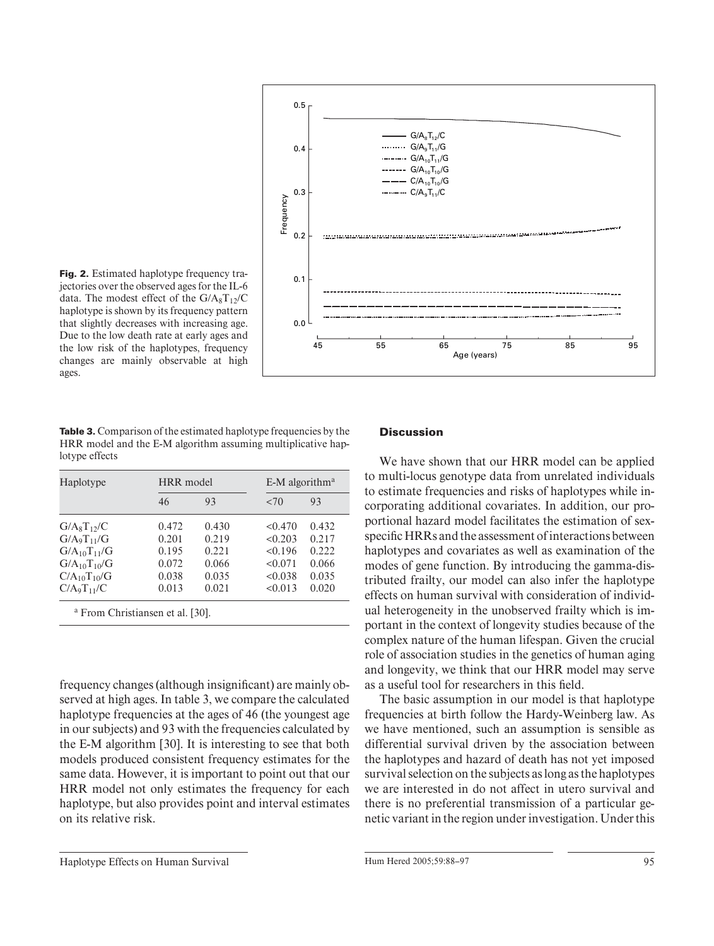

**Fig. 2.** Estimated haplotype frequency trajectories over the observed ages for the IL-6 data. The modest effect of the  $G/A_8T_1$ <sub>2</sub>/C haplotype is shown by its frequency pattern that slightly decreases with increasing age. Due to the low death rate at early ages and the low risk of the haplotypes, frequency changes are mainly observable at high ages.

**Table 3.** Comparison of the estimated haplotype frequencies by the HRR model and the E-M algorithm assuming multiplicative haplotype effects

| Haplotype                  | HRR model |       |         | $E-M$ algorithm <sup>a</sup> |  |  |
|----------------------------|-----------|-------|---------|------------------------------|--|--|
|                            | 46        | 93    | ${5,0}$ | 93                           |  |  |
| $G/A_8T_1$ <sub>2</sub> /C | 0.472     | 0.430 | < 0.470 | 0.432                        |  |  |
| $G/A_9T_{11}/G$            | 0.201     | 0.219 | < 0.203 | 0.217                        |  |  |
| $G/A_{10}T_{11}/G$         | 0.195     | 0.221 | < 0.196 | 0.222                        |  |  |
| $G/A_{10}T_{10}/G$         | 0.072     | 0.066 | < 0.071 | 0.066                        |  |  |
| $C/A_{10}T_{10}/G$         | 0.038     | 0.035 | < 0.038 | 0.035                        |  |  |
| $C/A_9T_{11}/C$            | 0.013     | 0.021 | < 0.013 | 0.020                        |  |  |

frequency changes (although insignificant) are mainly observed at high ages. In table 3, we compare the calculated haplotype frequencies at the ages of 46 (the youngest age in our subjects) and 93 with the frequencies calculated by the E-M algorithm [30]. It is interesting to see that both models produced consistent frequency estimates for the same data. However, it is important to point out that our HRR model not only estimates the frequency for each haplotype, but also provides point and interval estimates on its relative risk.

## **Discussion**

We have shown that our HRR model can be applied to multi-locus genotype data from unrelated individuals to estimate frequencies and risks of haplotypes while incorporating additional covariates. In addition, our proportional hazard model facilitates the estimation of sexspecific HRRs and the assessment of interactions between haplotypes and covariates as well as examination of the modes of gene function. By introducing the gamma-distributed frailty, our model can also infer the haplotype effects on human survival with consideration of individual heterogeneity in the unobserved frailty which is important in the context of longevity studies because of the complex nature of the human lifespan. Given the crucial role of association studies in the genetics of human aging and longevity, we think that our HRR model may serve as a useful tool for researchers in this field.

The basic assumption in our model is that haplotype frequencies at birth follow the Hardy-Weinberg law. As we have mentioned, such an assumption is sensible as differential survival driven by the association between the haplotypes and hazard of death has not yet imposed survival selection on the subjects as long as the haplotypes we are interested in do not affect in utero survival and there is no preferential transmission of a particular genetic variant in the region under investigation. Under this

Haplotype Effects on Human Survival and Allen Hum Hered 2005;59:88–97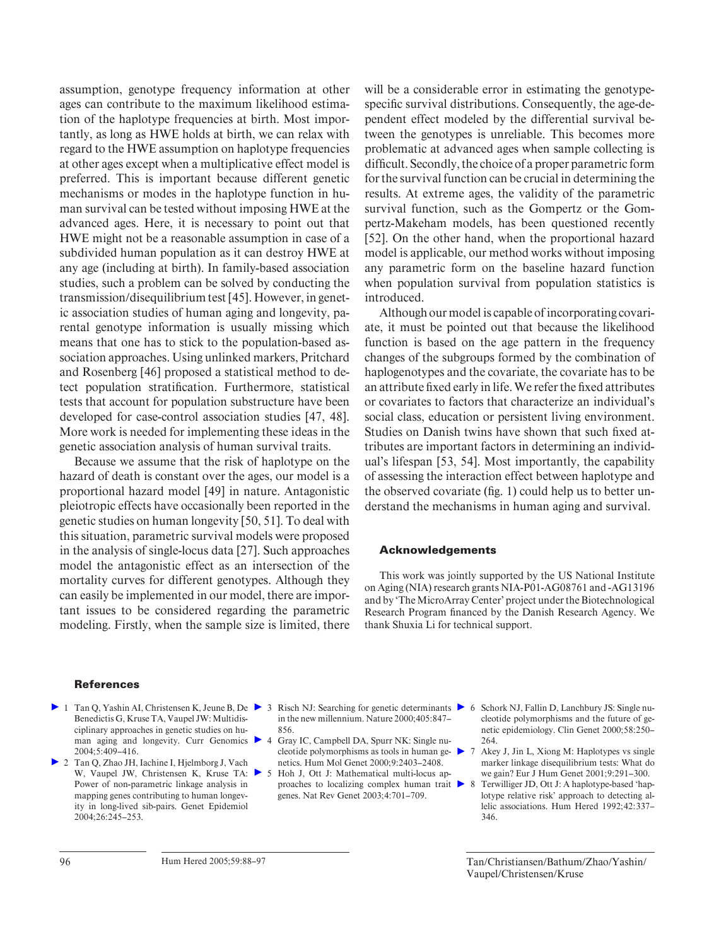assumption, genotype frequency information at other ages can contribute to the maximum likelihood estimation of the haplotype frequencies at birth. Most importantly, as long as HWE holds at birth, we can relax with regard to the HWE assumption on haplotype frequencies at other ages except when a multiplicative effect model is preferred. This is important because different genetic mechanisms or modes in the haplotype function in human survival can be tested without imposing HWE at the advanced ages. Here, it is necessary to point out that HWE might not be a reasonable assumption in case of a subdivided human population as it can destroy HWE at any age (including at birth). In family-based association studies, such a problem can be solved by conducting the transmission/disequilibrium test [45] . However, in genetic association studies of human aging and longevity, parental genotype information is usually missing which means that one has to stick to the population-based association approaches. Using unlinked markers, Pritchard and Rosenberg [46] proposed a statistical method to detect population stratification. Furthermore, statistical tests that account for population substructure have been developed for case-control association studies [47, 48]. More work is needed for implementing these ideas in the genetic association analysis of human survival traits.

Because we assume that the risk of haplotype on the hazard of death is constant over the ages, our model is a proportional hazard model [49] in nature. Antagonistic pleiotropic effects have occasionally been reported in the genetic studies on human longevity [50, 51] . To deal with this situation, parametric survival models were proposed in the analysis of single-locus data [27] . Such approaches model the antagonistic effect as an intersection of the mortality curves for different genotypes. Although they can easily be implemented in our model, there are important issues to be considered regarding the parametric modeling. Firstly, when the sample size is limited, there will be a considerable error in estimating the genotypespecific survival distributions. Consequently, the age-dependent effect modeled by the differential survival between the genotypes is unreliable. This becomes more problematic at advanced ages when sample collecting is difficult. Secondly, the choice of a proper parametric form for the survival function can be crucial in determining the results. At extreme ages, the validity of the parametric survival function, such as the Gompertz or the Gompertz-Makeham models, has been questioned recently [52]. On the other hand, when the proportional hazard model is applicable, our method works without imposing any parametric form on the baseline hazard function when population survival from population statistics is introduced.

Although our model is capable of incorporating covariate, it must be pointed out that because the likelihood function is based on the age pattern in the frequency changes of the subgroups formed by the combination of haplogenotypes and the covariate, the covariate has to be an attribute fixed early in life. We refer the fixed attributes or covariates to factors that characterize an individual's social class, education or persistent living environment. Studies on Danish twins have shown that such fixed attributes are important factors in determining an individual's lifespan [53, 54] . Most importantly, the capability of assessing the interaction effect between haplotype and the observed covariate (fig. 1) could help us to better understand the mechanisms in human aging and survival.

## **Acknowledgements**

This work was jointly supported by the US National Institute on Aging (NIA) research grants NIA-P01-AG08761 and -AG13196 and by 'The MicroArray Center' project under the Biotechnological Research Program financed by the Danish Research Agency. We thank Shuxia Li for technical support.

#### **References**

- Benedictis G, Kruse TA, Vaupel JW: Multidisciplinary approaches in genetic studies on hu- $2004.5:409-416$
- ▶ 2 Tan Q, Zhao JH, Iachine I, Hjelmborg J, Vach W, Vaupel JW, Christensen K, Kruse TA:  $\triangleright$  5 Power of non-parametric linkage analysis in mapping genes contributing to human longevity in long-lived sib-pairs. Genet Epidemiol 2004; 26: 245–253.
- 1 Tan Q, Yashin AI, Christensen K, Jeune B, De 3 Risch NJ: Searching for genetic determinants 6 Schork NJ, Fallin D, Lanchbury JS: Single nuin the new millennium. Nature 2000; 405:847-856.
	- man aging and longevity. Curr Genomics 4 Gray IC, Campbell DA, Spurr NK: Single nucleotide polymorphisms as tools in human genetics. Hum Mol Genet 2000; 9: 2403–2408.
		- 5 Hoh J, Ott J: Mathematical multi-locus approaches to localizing complex human trait genes. Nat Rev Genet 2003; 4: 701–709.
- cleotide polymorphisms and the future of genetic epidemiology. Clin Genet 2000;58:250-264.
- 7 Akey J, Jin L, Xiong M: Haplotypes vs single marker linkage disequilibrium tests: What do we gain? Eur J Hum Genet 2001;9:291-300.
- 8 Terwilliger JD, Ott J: A haplotype-based 'haplotype relative risk' approach to detecting allelic associations. Hum Hered 1992; 42: 337– 346.

Tan/Christiansen/Bathum/Zhao/Yashin/ Vaupel/Christensen/Kruse